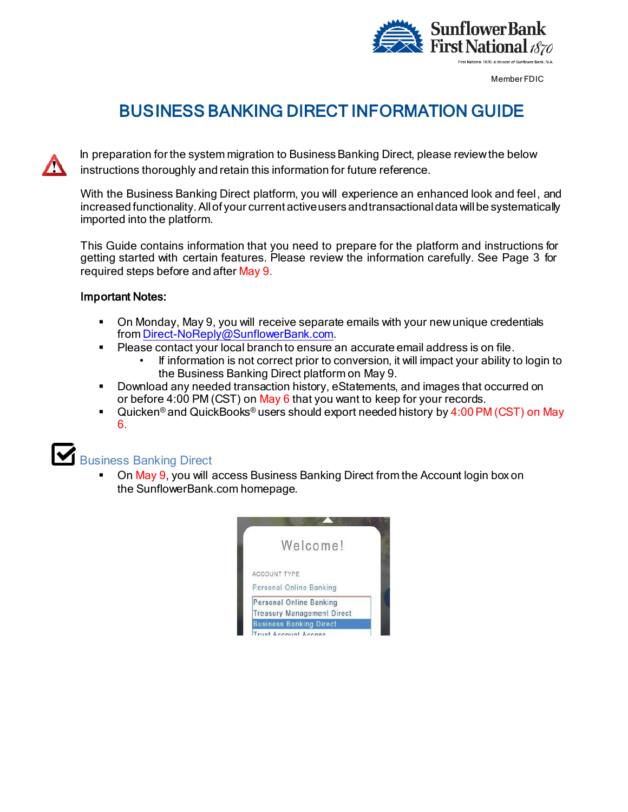

Member FDIC

# BUSINESS BANKING DIRECT INFORMATION GUIDE

In preparation for the system migration to Business Banking Direct, please review the below instructions thoroughly and retain this information for future reference.

With the Business Banking Direct platform, you will experience an enhanced look and feel, and increased functionality. All of your current active users and transactional data will be systematically imported into the platform.

This Guide contains information that you need to prepare for the platform and instructions for getting started with certain features. Please review the information carefully. See Page 3 for required steps before and after May 9.

### Important Notes:

- On Monday, May 9, you will receive separate emails with your newunique credentials fro[m Direct-NoReply@SunflowerBank.com](mailto:Direct-NoReply@SunflowerBank.com).
- **Please contact your local branch to ensure an accurate email address is on file.** 
	- If information is not correct prior to conversion, it will impact your ability to login to the Business Banking Direct platform on May 9.
- Download any needed transaction history, eStatements, and images that occurred on or before 4:00 PM (CST) on May 6 that you want to keep for your records.
- Quicken<sup>®</sup> and QuickBooks® users should export needed history by 4:00 PM (CST) on May 6.



# Business Banking Direct

 On May 9, you will access Business Banking Direct from the Account login box on the SunflowerBank.com homepage.

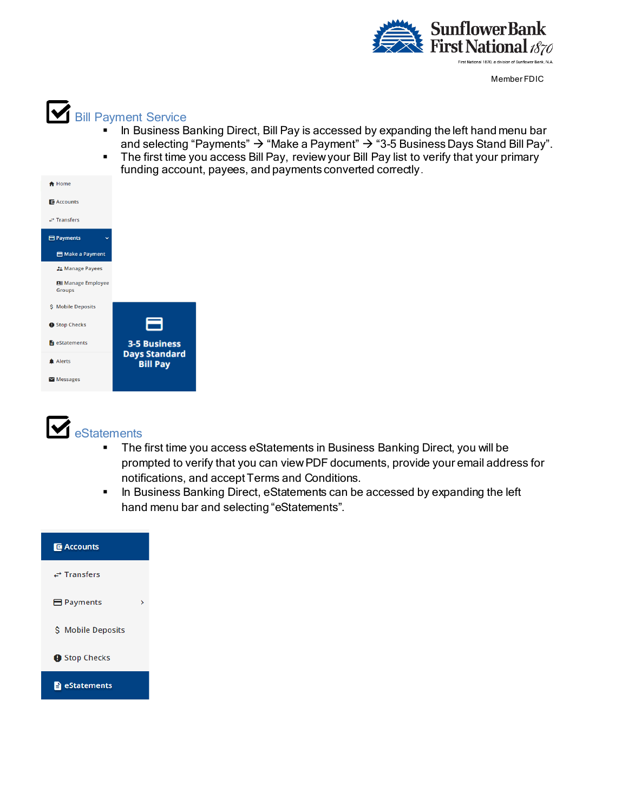

Member FDIC



- In Business Banking Direct, Bill Pay is accessed by expanding the left hand menu bar and selecting "Payments"  $\rightarrow$  "Make a Payment"  $\rightarrow$  "3-5 Business Days Stand Bill Pay".
- The first time you access Bill Pay, review your Bill Pay list to verify that your primary funding account, payees, and payments converted correctly.





- The first time you access eStatements in Business Banking Direct, you will be prompted to verify that you can view PDF documents, provide your email address for notifications, and accept Terms and Conditions.
- **In Business Banking Direct, eStatements can be accessed by expanding the left** hand menu bar and selecting "eStatements".

| <b>E</b> Accounts            |  |
|------------------------------|--|
| $\rightarrow$ Transfers      |  |
| $\blacksquare$ Payments<br>↘ |  |
| \$ Mobile Deposits           |  |
| Stop Checks                  |  |
| eStatements                  |  |